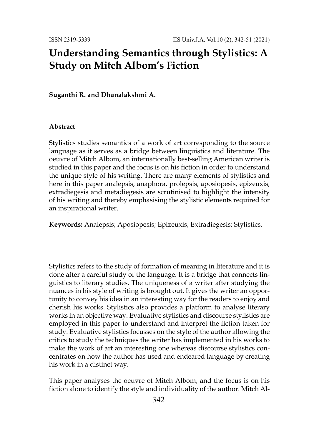## **Understanding Semantics through Stylistics: A Study on Mitch Albom's Fiction**

**Suganthi R. and Dhanalakshmi A.**

## **Abstract**

Stylistics studies semantics of a work of art corresponding to the source language as it serves as a bridge between linguistics and literature. The oeuvre of Mitch Albom, an internationally best-selling American writer is studied in this paper and the focus is on his fiction in order to understand the unique style of his writing. There are many elements of stylistics and here in this paper analepsis, anaphora, prolepsis, aposiopesis, epizeuxis, extradiegesis and metadiegesis are scrutinised to highlight the intensity of his writing and thereby emphasising the stylistic elements required for an inspirational writer.

**Keywords:** Analepsis; Aposiopesis; Epizeuxis; Extradiegesis; Stylistics.

Stylistics refers to the study of formation of meaning in literature and it is done after a careful study of the language. It is a bridge that connects linguistics to literary studies. The uniqueness of a writer after studying the nuances in his style of writing is brought out. It gives the writer an opportunity to convey his idea in an interesting way for the readers to enjoy and cherish his works. Stylistics also provides a platform to analyse literary works in an objective way. Evaluative stylistics and discourse stylistics are employed in this paper to understand and interpret the fiction taken for study. Evaluative stylistics focusses on the style of the author allowing the critics to study the techniques the writer has implemented in his works to make the work of art an interesting one whereas discourse stylistics concentrates on how the author has used and endeared language by creating his work in a distinct way.

This paper analyses the oeuvre of Mitch Albom, and the focus is on his fiction alone to identify the style and individuality of the author. Mitch Al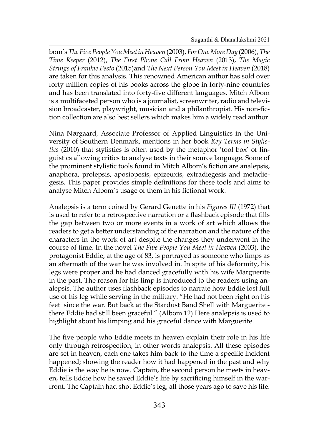bom's*The Five People You Meet in Heaven* (2003),*For One More Day* (2006),*The Time Keeper* (2012), *The First Phone Call From Heaven* (2013), *The Magic Strings of Frankie Pesto* (2015)and *The Next Person You Meet in Heaven* (2018) are taken for this analysis. This renowned American author has sold over forty million copies of his books across the globe in forty-nine countries and has been translated into forty-five different languages. Mitch Albom is a multifaceted person who is a journalist, screenwriter, radio and television broadcaster, playwright, musician and a philanthropist. His non-fiction collection are also best sellers which makes him a widely read author.

Nina Nørgaard, Associate Professor of Applied Linguistics in the University of Southern Denmark, mentions in her book *Key Terms in Stylistics* (2010) that stylistics is often used by the metaphor 'tool box' of linguistics allowing critics to analyse texts in their source language. Some of the prominent stylistic tools found in Mitch Albom's fiction are analepsis, anaphora, prolepsis, aposiopesis, epizeuxis, extradiegesis and metadiegesis. This paper provides simple definitions for these tools and aims to analyse Mitch Albom's usage of them in his fictional work.

Analepsis is a term coined by Gerard Genette in his *Figures III* (1972) that is used to refer to a retrospective narration or a flashback episode that fills the gap between two or more events in a work of art which allows the readers to get a better understanding of the narration and the nature of the characters in the work of art despite the changes they underwent in the course of time. In the novel *The Five People You Meet in Heaven* (2003), the protagonist Eddie, at the age of 83, is portrayed as someone who limps as an aftermath of the war he was involved in. In spite of his deformity, his legs were proper and he had danced gracefully with his wife Marguerite in the past. The reason for his limp is introduced to the readers using analepsis. The author uses flashback episodes to narrate how Eddie lost full use of his leg while serving in the military. "He had not been right on his feet since the war. But back at the Stardust Band Shell with Marguerite there Eddie had still been graceful." (Albom 12) Here analepsis is used to highlight about his limping and his graceful dance with Marguerite.

The five people who Eddie meets in heaven explain their role in his life only through retrospection, in other words analepsis. All these episodes are set in heaven, each one takes him back to the time a specific incident happened; showing the reader how it had happened in the past and why Eddie is the way he is now. Captain, the second person he meets in heaven, tells Eddie how he saved Eddie's life by sacrificing himself in the warfront. The Captain had shot Eddie's leg, all those years ago to save his life.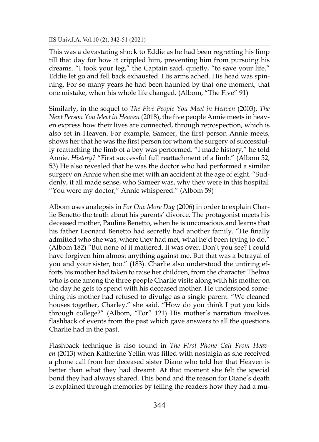This was a devastating shock to Eddie as he had been regretting his limp till that day for how it crippled him, preventing him from pursuing his dreams. "I took your leg," the Captain said, quietly, "to save your life." Eddie let go and fell back exhausted. His arms ached. His head was spinning. For so many years he had been haunted by that one moment, that one mistake, when his whole life changed. (Albom, "The Five" 91)

Similarly, in the sequel to *The Five People You Meet in Heaven* (2003), *The Next Person You Meet in Heaven* (2018), the five people Annie meets in heaven express how their lives are connected, through retrospection, which is also set in Heaven. For example, Sameer, the first person Annie meets, shows her that he was the first person for whom the surgery of successfully reattaching the limb of a boy was performed. "I made history," he told Annie. *History?* "First successful full reattachment of a limb." (Albom 52, 53) He also revealed that he was the doctor who had performed a similar surgery on Annie when she met with an accident at the age of eight. "Suddenly, it all made sense, who Sameer was, why they were in this hospital. "You were my doctor," Annie whispered." (Albom 59)

Albom uses analepsis in *For One More Day* (2006) in order to explain Charlie Benetto the truth about his parents' divorce. The protagonist meets his deceased mother, Pauline Benetto, when he is unconscious and learns that his father Leonard Benetto had secretly had another family. "He finally admitted who she was, where they had met, what he'd been trying to do." (Albom 182) "But none of it mattered. It was over. Don't you see? I could have forgiven him almost anything against me. But that was a betrayal of you and your sister, too." (183). Charlie also understood the untiring efforts his mother had taken to raise her children, from the character Thelma who is one among the three people Charlie visits along with his mother on the day he gets to spend with his deceased mother. He understood something his mother had refused to divulge as a single parent. "We cleaned houses together, Charley," she said. "How do you think I put you kids through college?" (Albom, "For" 121) His mother's narration involves flashback of events from the past which gave answers to all the questions Charlie had in the past.

Flashback technique is also found in *The First Phone Call From Heaven* (2013) when Katherine Yellin was filled with nostalgia as she received a phone call from her deceased sister Diane who told her that Heaven is better than what they had dreamt. At that moment she felt the special bond they had always shared. This bond and the reason for Diane's death is explained through memories by telling the readers how they had a mu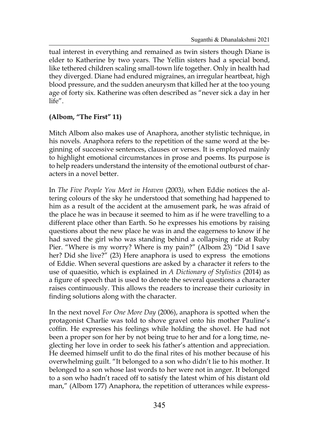tual interest in everything and remained as twin sisters though Diane is elder to Katherine by two years. The Yellin sisters had a special bond, like tethered children scaling small-town life together. Only in health had they diverged. Diane had endured migraines, an irregular heartbeat, high blood pressure, and the sudden aneurysm that killed her at the too young age of forty six. Katherine was often described as "never sick a day in her life".

## **(Albom, "The First" 11)**

Mitch Albom also makes use of Anaphora, another stylistic technique, in his novels. Anaphora refers to the repetition of the same word at the beginning of successive sentences, clauses or verses. It is employed mainly to highlight emotional circumstances in prose and poems. Its purpose is to help readers understand the intensity of the emotional outburst of characters in a novel better.

In *The Five People You Meet in Heaven* (2003*)*, when Eddie notices the altering colours of the sky he understood that something had happened to him as a result of the accident at the amusement park, he was afraid of the place he was in because it seemed to him as if he were travelling to a different place other than Earth. So he expresses his emotions by raising questions about the new place he was in and the eagerness to know if he had saved the girl who was standing behind a collapsing ride at Ruby Pier. "Where is my worry? Where is my pain?" (Albom 23) "Did I save her? Did she live?" (23) Here anaphora is used to express the emotions of Eddie. When several questions are asked by a character it refers to the use of quaesitio, which is explained in *A Dictionary of Stylistics* (2014) as a figure of speech that is used to denote the several questions a character raises continuously. This allows the readers to increase their curiosity in finding solutions along with the character.

In the next novel *For One More Day* (2006), anaphora is spotted when the protagonist Charlie was told to shove gravel onto his mother Pauline's coffin. He expresses his feelings while holding the shovel. He had not been a proper son for her by not being true to her and for a long time, neglecting her love in order to seek his father's attention and appreciation. He deemed himself unfit to do the final rites of his mother because of his overwhelming guilt. "It belonged to a son who didn't lie to his mother. It belonged to a son whose last words to her were not in anger. It belonged to a son who hadn't raced off to satisfy the latest whim of his distant old man," (Albom 177) Anaphora, the repetition of utterances while express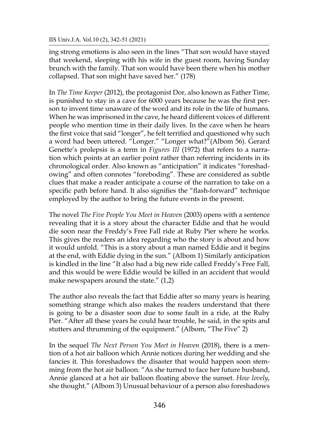ing strong emotions is also seen in the lines "That son would have stayed that weekend, sleeping with his wife in the guest room, having Sunday brunch with the family. That son would have been there when his mother collapsed. That son might have saved her." (178)

In *The Time Keeper* (2012), the protagonist Dor, also known as Father Time, is punished to stay in a cave for 6000 years because he was the first person to invent time unaware of the word and its role in the life of humans. When he was imprisoned in the cave, he heard different voices of different people who mention time in their daily lives. In the cave when he hears the first voice that said "longer", he felt terrified and questioned why such a word had been uttered. "Longer." "Longer what?"(Albom 56). Gerard Genette's prolepsis is a term in *Figures III* (1972) that refers to a narration which points at an earlier point rather than referring incidents in its chronological order. Also known as "anticipation" it indicates "foreshadowing" and often connotes "foreboding". These are considered as subtle clues that make a reader anticipate a course of the narration to take on a specific path before hand. It also signifies the "flash-forward" technique employed by the author to bring the future events in the present.

The novel *The Five People You Meet in Heaven* (2003) opens with a sentence revealing that it is a story about the character Eddie and that he would die soon near the Freddy's Free Fall ride at Ruby Pier where he works. This gives the readers an idea regarding who the story is about and how it would unfold. "This is a story about a man named Eddie and it begins at the end, with Eddie dying in the sun." (Albom 1) Similarly anticipation is kindled in the line "It also had a big new ride called Freddy's Free Fall, and this would be were Eddie would be killed in an accident that would make newspapers around the state." (1,2)

The author also reveals the fact that Eddie after so many years is hearing something strange which also makes the readers understand that there is going to be a disaster soon due to some fault in a ride, at the Ruby Pier. "After all these years he could hear trouble, he said, in the spits and stutters and thrumming of the equipment." (Albom, "The Five" 2)

In the sequel *The Next Person You Meet in Heaven* (2018), there is a mention of a hot air balloon which Annie notices during her wedding and she fancies it. This foreshadows the disaster that would happen soon stemming from the hot air balloon. "As she turned to face her future husband, Annie glanced at a hot air balloon floating above the sunset. *How lovely*, she thought." (Albom 3) Unusual behaviour of a person also foreshadows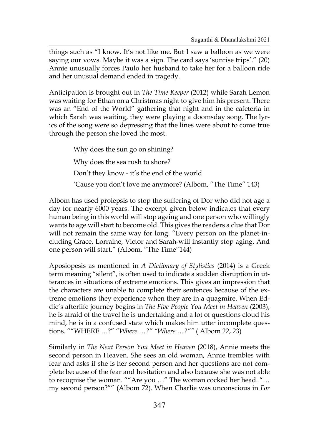things such as "I know. It's not like me. But I saw a balloon as we were saying our vows. Maybe it was a sign. The card says 'sunrise trips'." (20) Annie unusually forces Paulo her husband to take her for a balloon ride and her unusual demand ended in tragedy.

Anticipation is brought out in *The Time Keeper* (2012) while Sarah Lemon was waiting for Ethan on a Christmas night to give him his present. There was an "End of the World" gathering that night and in the cafeteria in which Sarah was waiting, they were playing a doomsday song. The lyrics of the song were so depressing that the lines were about to come true through the person she loved the most.

> Why does the sun go on shining? Why does the sea rush to shore? Don't they know - it's the end of the world 'Cause you don't love me anymore? (Albom, "The Time" 143)

Albom has used prolepsis to stop the suffering of Dor who did not age a day for nearly 6000 years. The excerpt given below indicates that every human being in this world will stop ageing and one person who willingly wants to age will start to become old. This gives the readers a clue that Dor will not remain the same way for long. "Every person on the planet-including Grace, Lorraine, Victor and Sarah-will instantly stop aging. And one person will start." (Albom, "The Time"144)

Aposiopesis as mentioned in *A Dictionary of Stylistics* (2014) is a Greek term meaning "silent", is often used to indicate a sudden disruption in utterances in situations of extreme emotions. This gives an impression that the characters are unable to complete their sentences because of the extreme emotions they experience when they are in a quagmire. When Eddie's afterlife journey begins in *The Five People You Meet in Heaven* (2003), he is afraid of the travel he is undertaking and a lot of questions cloud his mind, he is in a confused state which makes him utter incomplete questions. ""WHERE …?" "*Where …?" "Where …?""* ( Albom 22, 23)

Similarly in *The Next Person You Meet in Heaven* (2018), Annie meets the second person in Heaven. She sees an old woman, Annie trembles with fear and asks if she is her second person and her questions are not complete because of the fear and hesitation and also because she was not able to recognise the woman. ""Are you …" The woman cocked her head. "… my second person?"" (Albom 72). When Charlie was unconscious in *For*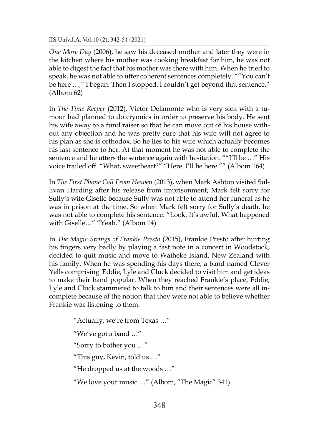IIS Univ.J.A. Vol.10 (2), 342-51 (2021)

*One More Day* (2006), he saw his deceased mother and later they were in the kitchen where his mother was cooking breakfast for him, he was not able to digest the fact that his mother was there with him. When he tried to speak, he was not able to utter coherent sentences completely. ""You can't be here ...," I began. Then I stopped. I couldn't get beyond that sentence." (Albom 62)

In *The Time Keeper* (2012), Victor Delamonte who is very sick with a tumour had planned to do cryonics in order to preserve his body. He sent his wife away to a fund raiser so that he can move out of his house without any objection and he was pretty sure that his wife will not agree to his plan as she is orthodox. So he lies to his wife which actually becomes his last sentence to her. At that moment he was not able to complete the sentence and he utters the sentence again with hesitation. ""I'll be ..." His voice trailed off. "What, sweetheart?" "Here. I'll be here."" (Albom 164)

In *The First Phone Call From Heaven* (2013), when Mark Ashton visited Sullivan Harding after his release from imprisonment, Mark felt sorry for Sully's wife Giselle because Sully was not able to attend her funeral as he was in prison at the time. So when Mark felt sorry for Sully's death, he was not able to complete his sentence. "Look. It's awful. What happened with Giselle…" "Yeah." (Albom 14)

In *The Magic Strings of Frankie Presto* (2015), Frankie Presto after hurting his fingers very badly by playing a fast note in a concert in Woodstock, decided to quit music and move to Waiheke Island, New Zealand with his family. When he was spending his days there, a band named Clever Yells comprising Eddie, Lyle and Cluck decided to visit him and get ideas to make their band popular. When they reached Frankie's place, Eddie, Lyle and Cluck stammered to talk to him and their sentences were all incomplete because of the notion that they were not able to believe whether Frankie was listening to them.

> "Actually, we're from Texas …" "We've got a band …" "Sorry to bother you …" "This guy, Kevin, told us …" "He dropped us at the woods …" "We love your music …" (Albom, "The Magic" 341)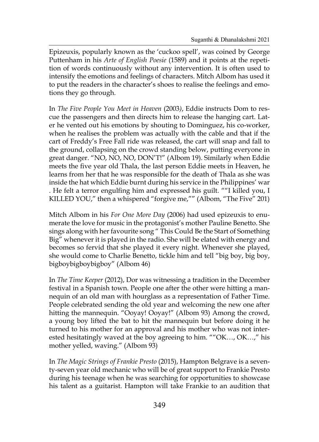Epizeuxis, popularly known as the 'cuckoo spell', was coined by George Puttenham in his *Arte of English Poesie* (1589) and it points at the repetition of words continuously without any intervention. It is often used to intensify the emotions and feelings of characters. Mitch Albom has used it to put the readers in the character's shoes to realise the feelings and emotions they go through.

In *The Five People You Meet in Heaven* (2003*)*, Eddie instructs Dom to rescue the passengers and then directs him to release the hanging cart. Later he vented out his emotions by shouting to Dominguez, his co-worker, when he realises the problem was actually with the cable and that if the cart of Freddy's Free Fall ride was released, the cart will snap and fall to the ground, collapsing on the crowd standing below, putting everyone in great danger. "NO, NO, NO, DON'T!" (Albom 19). Similarly when Eddie meets the five year old Thala, the last person Eddie meets in Heaven, he learns from her that he was responsible for the death of Thala as she was inside the hat which Eddie burnt during his service in the Philippines' war . He felt a terror engulfing him and expressed his guilt. ""I killed you, I KILLED YOU," then a whispered "forgive me,"" (Albom, "The Five" 201)

Mitch Albom in his *For One More Day* (2006) had used epizeuxis to enumerate the love for music in the protagonist's mother Pauline Benetto. She sings along with her favourite song " This Could Be the Start of Something Big" whenever it is played in the radio. She will be elated with energy and becomes so fervid that she played it every night. Whenever she played, she would come to Charlie Benetto, tickle him and tell "big boy, big boy, bigboybigboybigboy" (Albom 46)

In *The Time Keeper* (2012), Dor was witnessing a tradition in the December festival in a Spanish town. People one after the other were hitting a mannequin of an old man with hourglass as a representation of Father Time. People celebrated sending the old year and welcoming the new one after hitting the mannequin. "Ooyay! Ooyay!" (Albom 93) Among the crowd, a young boy lifted the bat to hit the mannequin but before doing it he turned to his mother for an approval and his mother who was not interested hesitatingly waved at the boy agreeing to him. ""OK…, OK…," his mother yelled, waving." (Albom 93)

In *The Magic Strings of Frankie Presto* (2015), Hampton Belgrave is a seventy-seven year old mechanic who will be of great support to Frankie Presto during his teenage when he was searching for opportunities to showcase his talent as a guitarist. Hampton will take Frankie to an audition that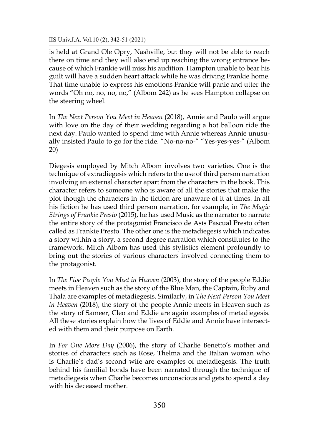IIS Univ.J.A. Vol.10 (2), 342-51 (2021)

is held at Grand Ole Opry, Nashville, but they will not be able to reach there on time and they will also end up reaching the wrong entrance because of which Frankie will miss his audition. Hampton unable to bear his guilt will have a sudden heart attack while he was driving Frankie home. That time unable to express his emotions Frankie will panic and utter the words "Oh no, no, no, no," (Albom 242) as he sees Hampton collapse on the steering wheel.

In *The Next Person You Meet in Heaven* (2018), Annie and Paulo will argue with love on the day of their wedding regarding a hot balloon ride the next day. Paulo wanted to spend time with Annie whereas Annie unusually insisted Paulo to go for the ride. "No-no-no-" "Yes-yes-yes-" (Albom 20)

Diegesis employed by Mitch Albom involves two varieties. One is the technique of extradiegesis which refers to the use of third person narration involving an external character apart from the characters in the book. This character refers to someone who is aware of all the stories that make the plot though the characters in the fiction are unaware of it at times. In all his fiction he has used third person narration, for example, in *The Magic Strings of Frankie Presto* (2015), he has used Music as the narrator to narrate the entire story of the protagonist Francisco de Asís Pascual Presto often called as Frankie Presto. The other one is the metadiegesis which indicates a story within a story, a second degree narration which constitutes to the framework. Mitch Albom has used this stylistics element profoundly to bring out the stories of various characters involved connecting them to the protagonist.

In *The Five People You Meet in Heaven* (2003), the story of the people Eddie meets in Heaven such as the story of the Blue Man, the Captain, Ruby and Thala are examples of metadiegesis. Similarly, in *The Next Person You Meet in Heaven* (2018), the story of the people Annie meets in Heaven such as the story of Sameer, Cleo and Eddie are again examples of metadiegesis. All these stories explain how the lives of Eddie and Annie have intersected with them and their purpose on Earth.

In *For One More Day* (2006), the story of Charlie Benetto's mother and stories of characters such as Rose, Thelma and the Italian woman who is Charlie's dad's second wife are examples of metadiegesis. The truth behind his familial bonds have been narrated through the technique of metadiegesis when Charlie becomes unconscious and gets to spend a day with his deceased mother.